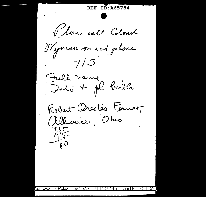REF ID: A65784 Vlase call Colonel Nyman on red phone  $7/5$ Fiell name<br>Date + pl brith Robert Orestes Fernet  $\frac{195}{195}$ Approved for Release by NSA on 04-14-2014 pursuant to E.O. 13526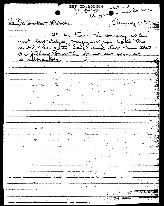REF ID: A65784 un til des me V Comment N°2 <u>Jo Dr. Suiveau, AfsA-021</u> 1. If Mr. Ferner is soming withun next feut days, suggest you hotel this. productive, the four as some of the state of the state of the state of the state of the state of the state of the state of the state of the state of the state of the state of the state of the state of the state of the stat On filling tout the forms as soon as